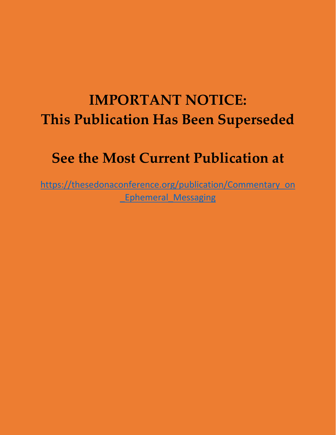## **IMPORTANT NOTICE: This Publication Has Been Superseded**

### **See the Most Current Publication at**

[https://thesedonaconference.org/publication/Commentary\\_on](https://thesedonaconference.org/publication/Commentary_on_Ephemeral_Messaging) **Ephemeral Messaging**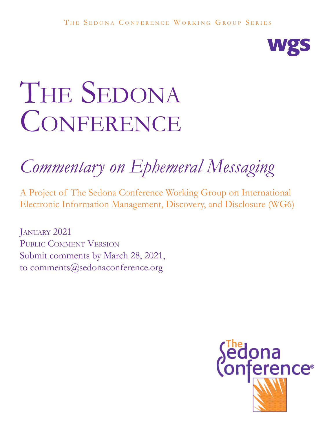

# THE SEDONA CONFERENCE

## *Commentary on Ephemeral Messaging*

A Project of The Sedona Conference Working Group on International Electronic Information Management, Discovery, and Disclosure (WG6)

JANUARY 2021 Public Comment Version Submit comments by March 28, 2021, to comments@sedonaconference.org

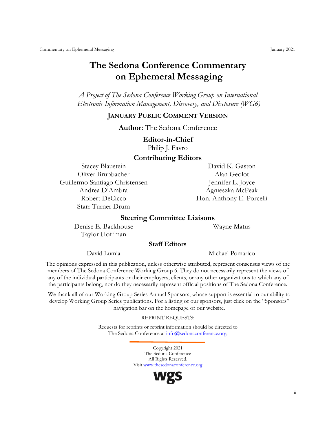#### **The Sedona Conference Commentary on Ephemeral Messaging**

*A Project of The Sedona Conference Working Group on International Electronic Information Management, Discovery, and Disclosure (WG6)*

#### **JANUARY PUBLIC COMMENT VERSION**

**Author:** The Sedona Conference

#### **Editor-in-Chief**

Philip J. Favro

#### **Contributing Editors**

Oliver Brupbacher Alan Geolot Guillermo Santiago Christensen Jennifer L. Joyce Andrea D'Ambra Agnieszka McPeak Robert DeCicco Hon. Anthony E. Porcelli Starr Turner Drum

Stacey Blaustein David K. Gaston

#### **Steering Committee Liaisons**

Denise E. Backhouse Wayne Matus Taylor Hoffman

#### **Staff Editors**

David Lumia Michael Pomarico

The opinions expressed in this publication, unless otherwise attributed, represent consensus views of the members of The Sedona Conference Working Group 6. They do not necessarily represent the views of any of the individual participants or their employers, clients, or any other organizations to which any of the participants belong, nor do they necessarily represent official positions of The Sedona Conference.

We thank all of our Working Group Series Annual Sponsors, whose support is essential to our ability to develop Working Group Series publications. For a listing of our sponsors, just click on the "Sponsors" navigation bar on the homepage of our website.

REPRINT REQUESTS:

Requests for reprints or reprint information should be directed to The Sedona Conference at [info@sedonaconference.org.](mailto:info@sedonaconference.org)

> Copyright 2021 The Sedona Conference All Rights Reserved. Visit [www.thesedonaconference.org](http://www.thesedonaconference.org/)

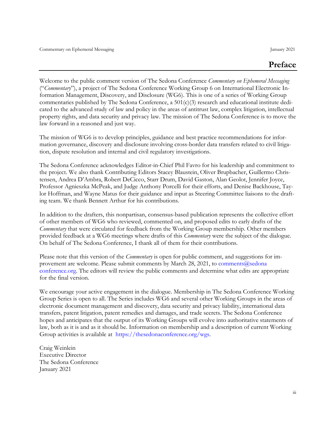Welcome to the public comment version of The Sedona Conference *Commentary on Ephemeral Messaging*  ("*Commentary*"), a project of The Sedona Conference Working Group 6 on International Electronic Information Management, Discovery, and Disclosure (WG6). This is one of a series of Working Group commentaries published by The Sedona Conference, a  $501(c)(3)$  research and educational institute dedicated to the advanced study of law and policy in the areas of antitrust law, complex litigation, intellectual property rights, and data security and privacy law. The mission of The Sedona Conference is to move the law forward in a reasoned and just way.

The mission of WG6 is to develop principles, guidance and best practice recommendations for information governance, discovery and disclosure involving cross-border data transfers related to civil litigation, dispute resolution and internal and civil regulatory investigations.

The Sedona Conference acknowledges Editor-in-Chief Phil Favro for his leadership and commitment to the project. We also thank Contributing Editors Stacey Blaustein, Oliver Brupbacher, Guillermo Christensen, Andrea D'Ambra, Robert DeCicco, Starr Drum, David Gaston, Alan Geolot, Jennifer Joyce, Professor Agnieszka McPeak, and Judge Anthony Porcelli for their efforts, and Denise Backhouse, Taylor Hoffman, and Wayne Matus for their guidance and input as Steering Committee liaisons to the drafting team. We thank Bennett Arthur for his contributions.

In addition to the drafters, this nonpartisan, consensus-based publication represents the collective effort of other members of WG6 who reviewed, commented on, and proposed edits to early drafts of the *Commentary* that were circulated for feedback from the Working Group membership. Other members provided feedback at a WG6 meetings where drafts of this *Commentary* were the subject of the dialogue. On behalf of The Sedona Conference, I thank all of them for their contributions.

Please note that this version of the *Commentary* is open for public comment, and suggestions for improvement are welcome. Please submit comments by March 28, 2021, to comments  $@$ sedona [conference.org.](mailto:comments@sedonaconference.org) The editors will review the public comments and determine what edits are appropriate for the final version.

We encourage your active engagement in the dialogue. Membership in The Sedona Conference Working Group Series is open to all. The Series includes WG6 and several other Working Groups in the areas of electronic document management and discovery, data security and privacy liability, international data transfers, patent litigation, patent remedies and damages, and trade secrets. The Sedona Conference hopes and anticipates that the output of its Working Groups will evolve into authoritative statements of law, both as it is and as it should be. Information on membership and a description of current Working Group activities is available at [https://thesedonaconference.org/wgs.](https://thesedonaconference.org/wgs)

Craig Weinlein Executive Director The Sedona Conference January 2021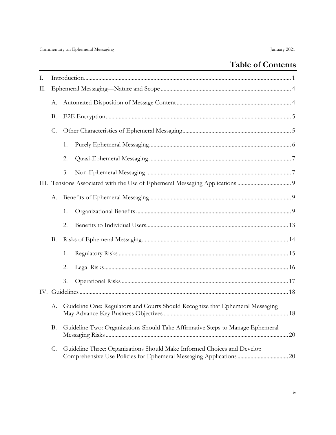#### **Table of Contents**

| Ι. |    |    |                                                                                                                                                |    |
|----|----|----|------------------------------------------------------------------------------------------------------------------------------------------------|----|
| П. |    |    |                                                                                                                                                |    |
|    | А. |    |                                                                                                                                                |    |
|    | Β. |    |                                                                                                                                                |    |
|    | С. |    |                                                                                                                                                |    |
|    |    | 1. |                                                                                                                                                |    |
|    |    | 2. |                                                                                                                                                |    |
|    |    | 3. |                                                                                                                                                |    |
|    | А. |    |                                                                                                                                                |    |
|    |    |    |                                                                                                                                                |    |
|    |    | 1. |                                                                                                                                                |    |
|    |    | 2. |                                                                                                                                                |    |
|    | В. |    |                                                                                                                                                |    |
|    |    | 1. |                                                                                                                                                |    |
|    |    | 2. |                                                                                                                                                |    |
|    |    | 3. |                                                                                                                                                |    |
|    |    |    |                                                                                                                                                |    |
|    | А. |    | Guideline One: Regulators and Courts Should Recognize that Ephemeral Messaging                                                                 |    |
|    | Β. |    | Guideline Two: Organizations Should Take Affirmative Steps to Manage Ephemeral                                                                 | 20 |
|    | C. |    | Guideline Three: Organizations Should Make Informed Choices and Develop<br>Comprehensive Use Policies for Ephemeral Messaging Applications  20 |    |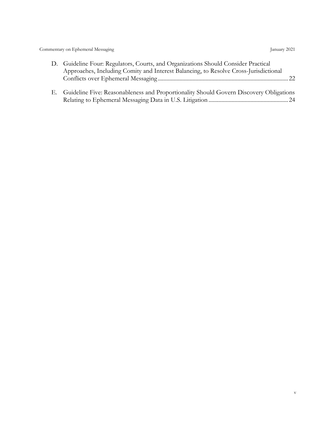| D. Guideline Four: Regulators, Courts, and Organizations Should Consider Practical        |
|-------------------------------------------------------------------------------------------|
| Approaches, Including Comity and Interest Balancing, to Resolve Cross-Jurisdictional      |
|                                                                                           |
|                                                                                           |
| E. Guideline Five: Reasonableness and Proportionality Should Govern Discovery Obligations |

[Relating to Ephemeral Messaging Data in U.S. Litigation](#page-29-0) ....................................................... 24

v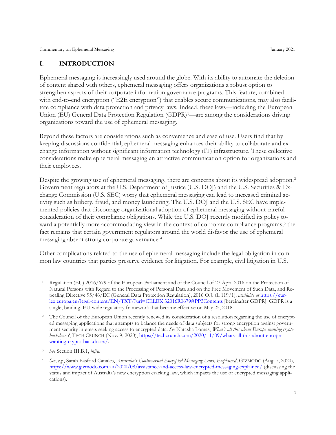#### <span id="page-6-0"></span>**I. INTRODUCTION**

Ephemeral messaging is increasingly used around the globe. With its ability to automate the deletion of content shared with others, ephemeral messaging offers organizations a robust option to strengthen aspects of their corporate information governance programs. This feature, combined with end-to-end encryption ("E2E encryption") that enables secure communications, may also facilitate compliance with data protection and privacy laws. Indeed, these laws—including the European Union (EU) General Data Protection Regulation (GDPR)<sup>[1](#page-6-1)</sup>—are among the considerations driving organizations toward the use of ephemeral messaging.

Beyond these factors are considerations such as convenience and ease of use. Users find that by keeping discussions confidential, ephemeral messaging enhances their ability to collaborate and exchange information without significant information technology (IT) infrastructure. These collective considerations make ephemeral messaging an attractive communication option for organizations and their employees.

Despite the growing use of ephemeral messaging, there are concerns about its widespread adoption.<sup>[2](#page-6-2)</sup> Government regulators at the U.S. Department of Justice (U.S. DOJ) and the U.S. Securities & Exchange Commission (U.S. SEC) worry that ephemeral messaging can lead to increased criminal activity such as bribery, fraud, and money laundering. The U.S. DOJ and the U.S. SEC have implemented policies that discourage organizational adoption of ephemeral messaging without careful consideration of their compliance obligations. While the U.S. DOJ recently modified its policy toward a potentially more accommodating view in the context of corporate compliance programs, [3](#page-6-3) the fact remains that certain government regulators around the world disfavor the use of ephemeral messaging absent strong corporate governance. [4](#page-6-4)

Other complications related to the use of ephemeral messaging include the legal obligation in common law countries that parties preserve evidence for litigation. For example, civil litigation in U.S.

<span id="page-6-1"></span><sup>1</sup> Regulation (EU) 2016/679 of the European Parliament and of the Council of 27 April 2016 on the Protection of Natural Persons with Regard to the Processing of Personal Data and on the Free Movement of Such Data, and Repealing Directive 95/46/EC (General Data Protection Regulation), 2016 O.J. (L 119/1), *available at* [https://eur](https://eur-lex.europa.eu/legal-content/EN/TXT/?uri=CELEX:32016R0679#PP3Contents)[lex.europa.eu/legal-content/EN/TXT/?uri=CELEX:32016R0679#PP3Contents](https://eur-lex.europa.eu/legal-content/EN/TXT/?uri=CELEX:32016R0679#PP3Contents) [hereinafter GDPR]. GDPR is a single, binding, EU-wide regulatory framework that became effective on May 25, 2018.

<span id="page-6-2"></span><sup>&</sup>lt;sup>2</sup> The Council of the European Union recently renewed its consideration of a resolution regarding the use of encrypted messaging applications that attempts to balance the needs of data subjects for strong encryption against government security interests seeking access to encrypted data. *See* Natasha Lomas, *What's all this about Europe wanting crypto backdoors?*, TECH CRUNCH (Nov. 9, 2020), [https://techcrunch.com/2020/11/09/whats-all-this-about-europe](https://techcrunch.com/2020/11/09/whats-all-this-about-europe-wanting-crypto-backdoors/)[wanting-crypto-backdoors/.](https://techcrunch.com/2020/11/09/whats-all-this-about-europe-wanting-crypto-backdoors/)

<span id="page-6-4"></span><span id="page-6-3"></span><sup>3</sup> *See* Section III.B.1, *infra*.

<sup>4</sup> *See*, *e.g.*, Sarah Basford Canales, *Australia's Controversial Encrypted Messaging Laws, Explained*, GIZMODO (Aug. 7, 2020), <https://www.gizmodo.com.au/2020/08/assistance-and-access-law-encrypted-messaging-explained/> (discussing the status and impact of Australia's new encryption cracking law, which impacts the use of encrypted messaging applications).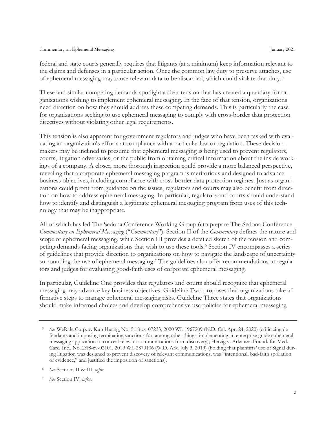federal and state courts generally requires that litigants (at a minimum) keep information relevant to the claims and defenses in a particular action. Once the common law duty to preserve attaches, use of ephemeral messaging may cause relevant data to be discarded, which could violate that duty.<sup>[5](#page-7-0)</sup>

These and similar competing demands spotlight a clear tension that has created a quandary for organizations wishing to implement ephemeral messaging. In the face of that tension, organizations need direction on how they should address these competing demands. This is particularly the case for organizations seeking to use ephemeral messaging to comply with cross-border data protection directives without violating other legal requirements.

This tension is also apparent for government regulators and judges who have been tasked with evaluating an organization's efforts at compliance with a particular law or regulation. These decisionmakers may be inclined to presume that ephemeral messaging is being used to prevent regulators, courts, litigation adversaries, or the public from obtaining critical information about the inside workings of a company. A closer, more thorough inspection could provide a more balanced perspective, revealing that a corporate ephemeral messaging program is meritorious and designed to advance business objectives, including compliance with cross-border data protection regimes. Just as organizations could profit from guidance on the issues, regulators and courts may also benefit from direction on how to address ephemeral messaging. In particular, regulators and courts should understand how to identify and distinguish a legitimate ephemeral messaging program from uses of this technology that may be inappropriate.

All of which has led The Sedona Conference Working Group 6 to prepare The Sedona Conference *Commentary on Ephemeral Messaging* ("*Commentary*"). Section II of the *Commentary* defines the nature and scope of ephemeral messaging, while Section III provides a detailed sketch of the tension and competing demands facing organizations that wish to use these tools. [6](#page-7-1) Section IV encompasses a series of guidelines that provide direction to organizations on how to navigate the landscape of uncertainty surrounding the use of ephemeral messaging.<sup>[7](#page-7-2)</sup> The guidelines also offer recommendations to regulators and judges for evaluating good-faith uses of corporate ephemeral messaging.

In particular, Guideline One provides that regulators and courts should recognize that ephemeral messaging may advance key business objectives. Guideline Two proposes that organizations take affirmative steps to manage ephemeral messaging risks. Guideline Three states that organizations should make informed choices and develop comprehensive use policies for ephemeral messaging

<span id="page-7-0"></span><sup>5</sup> *See* WeRide Corp. v. Kun Huang, No. 5:18-cv-07233, 2020 WL 1967209 (N.D. Cal. Apr. 24, 2020) (criticizing defendants and imposing terminating sanctions for, among other things, implementing an enterprise grade ephemeral messaging application to conceal relevant communications from discovery); Herzig v. Arkansas Found. for Med. Care, Inc., No. 2:18-cv-02101, 2019 WL 2870106 (W.D. Ark. July 3, 2019) (holding that plaintiffs' use of Signal during litigation was designed to prevent discovery of relevant communications, was "intentional, bad-faith spoliation of evidence," and justified the imposition of sanctions).

<span id="page-7-1"></span><sup>6</sup> *See* Sections II & III, *infra*.

<span id="page-7-2"></span><sup>7</sup> *See* Section IV, *infra*.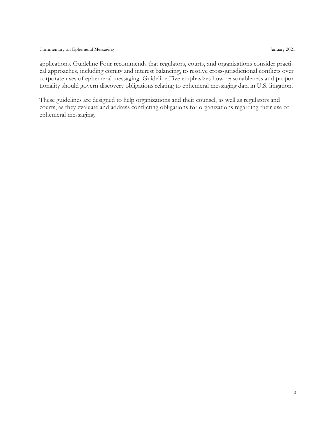applications. Guideline Four recommends that regulators, courts, and organizations consider practical approaches, including comity and interest balancing, to resolve cross-jurisdictional conflicts over corporate uses of ephemeral messaging. Guideline Five emphasizes how reasonableness and proportionality should govern discovery obligations relating to ephemeral messaging data in U.S. litigation.

These guidelines are designed to help organizations and their counsel, as well as regulators and courts, as they evaluate and address conflicting obligations for organizations regarding their use of ephemeral messaging.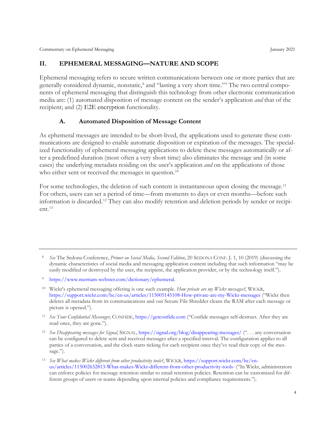#### <span id="page-9-0"></span>**II. EPHEMERAL MESSAGING—NATURE AND SCOPE**

Ephemeral messaging refers to secure written communications between one or more parties that are generally considered dynamic, nonstatic, [8](#page-9-2) and "lasting a very short time."[9](#page-9-3) The two central components of ephemeral messaging that distinguish this technology from other electronic communication media are: (1) automated disposition of message content on the sender's application *and* that of the recipient; and (2) E2E encryption functionality.

#### **A. Automated Disposition of Message Content**

<span id="page-9-1"></span>As ephemeral messages are intended to be short-lived, the applications used to generate these communications are designed to enable automatic disposition or expiration of the messages. The specialized functionality of ephemeral messaging applications to delete these messages automatically or after a predefined duration (most often a very short time) also eliminates the message and (in some cases) the underlying metadata residing on the user's application *and* on the applications of those who either sent or received the messages in question.<sup>[10](#page-9-4)</sup>

For some technologies, the deletion of such content is instantaneous upon closing the message.<sup>[11](#page-9-5)</sup> For others, users can set a period of time—from moments to days or even months—before such information is discarded.[12](#page-9-6) They can also modify retention and deletion periods by sender or recipient.[13](#page-9-7)

<span id="page-9-5"></span><sup>11</sup> *See Your Confidential Messenger*, CONFIDE[, https://getconfide.com](https://getconfide.com/) ("Confide messages self-destruct. After they are read once, they are gone.").

<span id="page-9-2"></span><sup>8</sup> *See* The Sedona Conference, *Primer on Social Media, Second Edition*, 20 SEDONA CONF. J. 1, 10 (2019) (discussing the dynamic characteristics of social media and messaging application content including that such information "may be easily modified or destroyed by the user, the recipient, the application provider, or by the technology itself.").

<span id="page-9-3"></span><sup>9</sup> [https://www.merriam-webster.com/dictionary/ephemeral.](https://www.merriam-webster.com/dictionary/ephemeral)

<span id="page-9-4"></span><sup>10</sup> Wickr's ephemeral messaging offering is one such example. *How private are my Wickr messages?*, WICKR, <https://support.wickr.com/hc/en-us/articles/115005145108-How-private-are-my-Wickr-messages> ("Wickr then deletes all metadata from its communications and our Secure File Shredder cleans the RAM after each message or picture is opened.").

<span id="page-9-6"></span><sup>12</sup> *See Disappearing messages for Signal*, SIGNAL[, https://signal.org/blog/disappearing-messages/](https://signal.org/blog/disappearing-messages/) (". . . any conversation can be configured to delete sent and received messages after a specified interval. The configuration applies to all parties of a conversation, and the clock starts ticking for each recipient once they've read their copy of the message.").

<span id="page-9-7"></span><sup>13</sup> *See What makes Wickr different from other productivity tools?*, WICKR, [https://support.wickr.com/hc/en](https://support.wickr.com/hc/en-us/articles/115002632813-What-makes-Wickr-different-from-other-productivity-tools-)[us/articles/115002632813-What-makes-Wickr-different-from-other-productivity-tools-](https://support.wickr.com/hc/en-us/articles/115002632813-What-makes-Wickr-different-from-other-productivity-tools-) ("In Wickr, administrators can enforce policies for message retention similar to email retention policies. Retention can be customized for different groups of users or teams depending upon internal policies and compliance requirements.").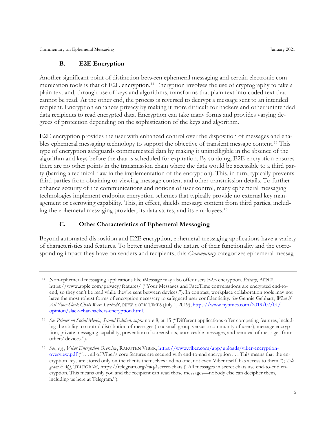#### **B. E2E Encryption**

<span id="page-10-0"></span>Another significant point of distinction between ephemeral messaging and certain electronic communication tools is that of E2E encryption. [14](#page-10-2) Encryption involves the use of cryptography to take a plain text and, through use of keys and algorithms, transforms that plain text into coded text that cannot be read. At the other end, the process is reversed to decrypt a message sent to an intended recipient. Encryption enhances privacy by making it more difficult for hackers and other unintended data recipients to read encrypted data. Encryption can take many forms and provides varying degrees of protection depending on the sophistication of the keys and algorithm.

E2E encryption provides the user with enhanced control over the disposition of messages and enables ephemeral messaging technology to support the objective of transient message content.[15](#page-10-3) This type of encryption safeguards communicated data by making it unintelligible in the absence of the algorithm and keys before the data is scheduled for expiration. By so doing, E2E encryption ensures there are no other points in the transmission chain where the data would be accessible to a third party (barring a technical flaw in the implementation of the encryption). This, in turn, typically prevents third parties from obtaining or viewing message content and other transmission details. To further enhance security of the communications and notions of user control, many ephemeral messaging technologies implement endpoint encryption schemes that typically provide no external key management or escrowing capability. This, in effect, shields message content from third parties, including the ephemeral messaging provider, its data stores, and its employees.[16](#page-10-4)

#### **C. Other Characteristics of Ephemeral Messaging**

<span id="page-10-1"></span>Beyond automated disposition and E2E encryption, ephemeral messaging applications have a variety of characteristics and features. To better understand the nature of their functionality and the corresponding impact they have on senders and recipients, this *Commentary* categorizes ephemeral messag-

<span id="page-10-2"></span><sup>14</sup> Non-ephemeral messaging applications like iMessage may also offer users E2E encryption. *Privacy*, APPLE, https://www.apple.com/privacy/features/ ("Your Messages and FaceTime conversations are encrypted end-toend, so they can't be read while they're sent between devices."). In contrast, workplace collaboration tools may not have the most robust forms of encryption necessary to safeguard user confidentiality. *See* Gennie Gebhart, *What if All Your Slack Chats Were Leaked?*, NEW YORK TIMES (July 1, 2019), [https://www.nytimes.com/2019/07/01/](https://www.nytimes.com/2019/07/01/%E2%80%8Copinion/slack-chat-hackers-encryption.html) [opinion/slack-chat-hackers-encryption.html.](https://www.nytimes.com/2019/07/01/%E2%80%8Copinion/slack-chat-hackers-encryption.html)

<span id="page-10-3"></span><sup>15</sup> *See Primer on Social Media, Second Edition, supra* note 8, at 15 ("Different applications offer competing features, including the ability to control distribution of messages (to a small group versus a community of users), message encryption, private messaging capability, prevention of screenshots, untraceable messages, and removal of messages from others' devices.").

<span id="page-10-4"></span><sup>16</sup> *See*, *e.g.*, *Viber Encryption Overview*, RAKUTEN VIBER, [https://www.viber.com/app/uploads/viber-encryption](https://www.viber.com/app/uploads/viber-encryption-overview.pdf)[overview.pdf](https://www.viber.com/app/uploads/viber-encryption-overview.pdf) (". . . all of Viber's core features are secured with end-to-end encryption . . . This means that the encryption keys are stored only on the clients themselves and no one, not even Viber itself, has access to them."); *Telegram FAQ*, TELEGRAM, https://telegram.org/faq#secret-chats ("All messages in secret chats use end-to-end encryption. This means only you and the recipient can read those messages—nobody else can decipher them, including us here at Telegram.").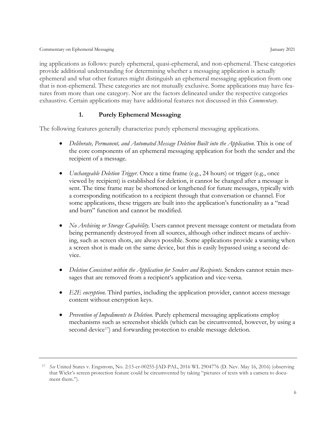ing applications as follows: purely ephemeral, quasi-ephemeral, and non-ephemeral. These categories provide additional understanding for determining whether a messaging application is actually ephemeral and what other features might distinguish an ephemeral messaging application from one that is non-ephemeral. These categories are not mutually exclusive. Some applications may have features from more than one category. Nor are the factors delineated under the respective categories exhaustive. Certain applications may have additional features not discussed in this *Commentary*.

#### **1. Purely Ephemeral Messaging**

<span id="page-11-0"></span>The following features generally characterize purely ephemeral messaging applications.

- *Deliberate, Permanent, and Automated Message Deletion Built into the Application.* This is one of the core components of an ephemeral messaging application for both the sender and the recipient of a message.
- *Unchangeable Deletion Trigger*. Once a time frame (e.g., 24 hours) or trigger (e.g., once viewed by recipient) is established for deletion, it cannot be changed after a message is sent. The time frame may be shortened or lengthened for future messages, typically with a corresponding notification to a recipient through that conversation or channel. For some applications, these triggers are built into the application's functionality as a "read and burn" function and cannot be modified.
- *No Archiving or Storage Capability*. Users cannot prevent message content or metadata from being permanently destroyed from all sources, although other indirect means of archiving, such as screen shots, are always possible. Some applications provide a warning when a screen shot is made on the same device, but this is easily bypassed using a second device.
- *Deletion Consistent within the Application for Senders and Recipients.* Senders cannot retain messages that are removed from a recipient's application and vice-versa.
- *E2E encryption.* Third parties, including the application provider, cannot access message content without encryption keys.
- *Prevention of Impediments to Deletion*. Purely ephemeral messaging applications employ mechanisms such as screenshot shields (which can be circumvented, however, by using a second device<sup>[17](#page-11-1)</sup>) and forwarding protection to enable message deletion.

<span id="page-11-1"></span><sup>17</sup> *See* United States v. Engstrom, No. 2:15-cr-00255-JAD-PAL, 2016 WL 2904776 (D. Nev. May 16, 2016) (observing that Wickr's screen protection feature could be circumvented by taking "pictures of texts with a camera to document them.").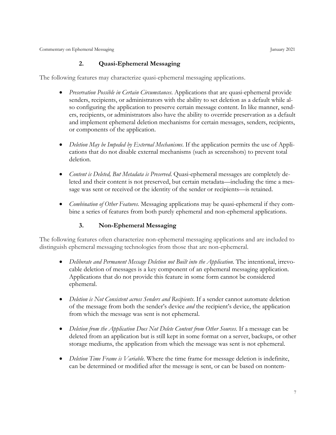#### **2. Quasi-Ephemeral Messaging**

<span id="page-12-0"></span>The following features may characterize quasi-ephemeral messaging applications.

- *Preservation Possible in Certain Circumstances*. Applications that are quasi-ephemeral provide senders, recipients, or administrators with the ability to set deletion as a default while also configuring the application to preserve certain message content. In like manner, senders, recipients, or administrators also have the ability to override preservation as a default and implement ephemeral deletion mechanisms for certain messages, senders, recipients, or components of the application.
- *Deletion May be Impeded by External Mechanisms*. If the application permits the use of Applications that do not disable external mechanisms (such as screenshots) to prevent total deletion.
- *Content is Deleted, But Metadata is Preserved*. Quasi-ephemeral messages are completely deleted and their content is not preserved, but certain metadata—including the time a message was sent or received or the identity of the sender or recipients—is retained.
- *Combination of Other Features*. Messaging applications may be quasi-ephemeral if they combine a series of features from both purely ephemeral and non-ephemeral applications.

#### **3. Non-Ephemeral Messaging**

<span id="page-12-1"></span>The following features often characterize non-ephemeral messaging applications and are included to distinguish ephemeral messaging technologies from those that are non-ephemeral.

- *Deliberate and Permanent Message Deletion not Built into the Application*. The intentional, irrevocable deletion of messages is a key component of an ephemeral messaging application. Applications that do not provide this feature in some form cannot be considered ephemeral.
- *Deletion is Not Consistent across Senders and Recipients*. If a sender cannot automate deletion of the message from both the sender's device *and* the recipient's device, the application from which the message was sent is not ephemeral.
- *Deletion from the Application Does Not Delete Content from Other Sources*. If a message can be deleted from an application but is still kept in some format on a server, backups, or other storage mediums, the application from which the message was sent is not ephemeral.
- *Deletion Time Frame is Variable*. Where the time frame for message deletion is indefinite, can be determined or modified after the message is sent, or can be based on nontem-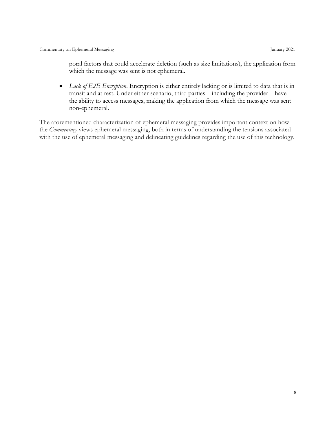poral factors that could accelerate deletion (such as size limitations), the application from which the message was sent is not ephemeral.

• *Lack of E2E Encryption*. Encryption is either entirely lacking or is limited to data that is in transit and at rest. Under either scenario, third parties—including the provider—have the ability to access messages, making the application from which the message was sent non-ephemeral.

The aforementioned characterization of ephemeral messaging provides important context on how the *Commentary* views ephemeral messaging, both in terms of understanding the tensions associated with the use of ephemeral messaging and delineating guidelines regarding the use of this technology.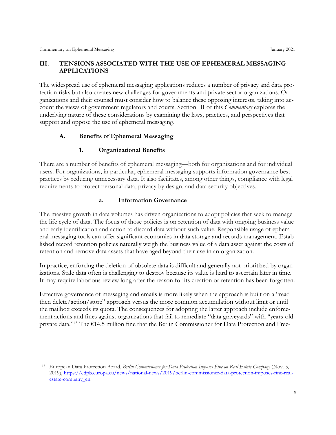#### <span id="page-14-0"></span>**III. TENSIONS ASSOCIATED WITH THE USE OF EPHEMERAL MESSAGING APPLICATIONS**

The widespread use of ephemeral messaging applications reduces a number of privacy and data protection risks but also creates new challenges for governments and private sector organizations. Organizations and their counsel must consider how to balance these opposing interests, taking into account the views of government regulators and courts. Section III of this *Commentary* explores the underlying nature of these considerations by examining the laws, practices, and perspectives that support and oppose the use of ephemeral messaging.

#### <span id="page-14-1"></span>**A. Benefits of Ephemeral Messaging**

#### **1. Organizational Benefits**

<span id="page-14-2"></span>There are a number of benefits of ephemeral messaging—both for organizations and for individual users. For organizations, in particular, ephemeral messaging supports information governance best practices by reducing unnecessary data. It also facilitates, among other things, compliance with legal requirements to protect personal data, privacy by design, and data security objectives.

#### **a. Information Governance**

The massive growth in data volumes has driven organizations to adopt policies that seek to manage the life cycle of data. The focus of those policies is on retention of data with ongoing business value and early identification and action to discard data without such value. Responsible usage of ephemeral messaging tools can offer significant economies in data storage and records management. Established record retention policies naturally weigh the business value of a data asset against the costs of retention and remove data assets that have aged beyond their use in an organization.

In practice, enforcing the deletion of obsolete data is difficult and generally not prioritized by organizations. Stale data often is challenging to destroy because its value is hard to ascertain later in time. It may require laborious review long after the reason for its creation or retention has been forgotten.

Effective governance of messaging and emails is more likely when the approach is built on a "read then delete/action/store" approach versus the more common accumulation without limit or until the mailbox exceeds its quota. The consequences for adopting the latter approach include enforcement actions and fines against organizations that fail to remediate "data graveyards" with "years-old private data."[18](#page-14-3) The €14.5 million fine that the Berlin Commissioner for Data Protection and Free-

<span id="page-14-3"></span><sup>18</sup> European Data Protection Board, *Berlin Commissioner for Data Protection Imposes Fine on Real Estate Company* (Nov. 5, 2019), [https://edpb.europa.eu/news/national-news/2019/berlin-commissioner-data-protection-imposes-fine-real](https://edpb.europa.eu/news/national-news/2019/berlin-commissioner-data-protection-imposes-fine-real-estate-company_en)[estate-company\\_en.](https://edpb.europa.eu/news/national-news/2019/berlin-commissioner-data-protection-imposes-fine-real-estate-company_en)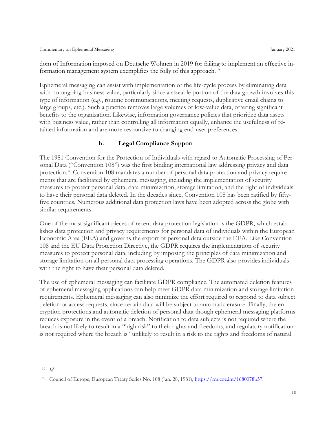dom of Information imposed on Deutsche Wohnen in 2019 for failing to implement an effective in-formation management system exemplifies the folly of this approach.<sup>[19](#page-15-0)</sup>

Ephemeral messaging can assist with implementation of the life-cycle process by eliminating data with no ongoing business value, particularly since a sizeable portion of the data growth involves this type of information (e.g., routine communications, meeting requests, duplicative email chains to large groups, etc.). Such a practice removes large volumes of low-value data, offering significant benefits to the organization. Likewise, information governance policies that prioritize data assets with business value, rather than controlling all information equally, enhance the usefulness of retained information and are more responsive to changing end-user preferences.

#### **b. Legal Compliance Support**

The 1981 Convention for the Protection of Individuals with regard to Automatic Processing of Personal Data ("Convention 108") was the first binding international law addressing privacy and data protection.[20](#page-15-1) Convention 108 mandates a number of personal data protection and privacy requirements that are facilitated by ephemeral messaging, including the implementation of security measures to protect personal data, data minimization, storage limitation, and the right of individuals to have their personal data deleted. In the decades since, Convention 108 has been ratified by fiftyfive countries. Numerous additional data protection laws have been adopted across the globe with similar requirements.

One of the most significant pieces of recent data protection legislation is the GDPR, which establishes data protection and privacy requirements for personal data of individuals within the European Economic Area (EEA) and governs the export of personal data outside the EEA. Like Convention 108 and the EU Data Protection Directive, the GDPR requires the implementation of security measures to protect personal data, including by imposing the principles of data minimization and storage limitation on all personal data processing operations. The GDPR also provides individuals with the right to have their personal data deleted.

The use of ephemeral messaging can facilitate GDPR compliance. The automated deletion features of ephemeral messaging applications can help meet GDPR data minimization and storage limitation requirements. Ephemeral messaging can also minimize the effort required to respond to data subject deletion or access requests, since certain data will be subject to automatic erasure. Finally, the encryption protections and automatic deletion of personal data though ephemeral messaging platforms reduces exposure in the event of a breach. Notification to data subjects is not required where the breach is not likely to result in a "high risk" to their rights and freedoms, and regulatory notification is not required where the breach is "unlikely to result in a risk to the rights and freedoms of natural

<span id="page-15-0"></span><sup>19</sup> *Id*.

<span id="page-15-1"></span><sup>&</sup>lt;sup>20</sup> Council of Europe, European Treaty Series No. 108 (Jan. 28, 1981), [https://rm.coe.int/1680078b37.](https://rm.coe.int/1680078b37)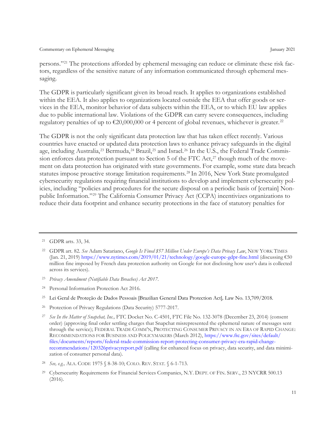persons."[21](#page-16-0) The protections afforded by ephemeral messaging can reduce or eliminate these risk factors, regardless of the sensitive nature of any information communicated through ephemeral messaging.

The GDPR is particularly significant given its broad reach. It applies to organizations established within the EEA. It also applies to organizations located outside the EEA that offer goods or services in the EEA, monitor behavior of data subjects within the EEA, or to which EU law applies due to public international law. Violations of the GDPR can carry severe consequences, including regulatory penalties of up to  $\epsilon$ 20,000,000 or 4 percent of global revenues, whichever is greater.<sup>[22](#page-16-1)</sup>

The GDPR is not the only significant data protection law that has taken effect recently. Various countries have enacted or updated data protection laws to enhance privacy safeguards in the digital age, including Australia,<sup>[23](#page-16-2)</sup> Bermuda,<sup>[24](#page-16-3)</sup> Brazil,<sup>[25](#page-16-4)</sup> and Israel.<sup>[26](#page-16-5)</sup> In the U.S., the Federal Trade Commission enforces data protection pursuant to Section 5 of the FTC Act, $27$  though much of the movement on data protection has originated with state governments. For example, some state data breach statutes impose proactive storage limitation requirements.[28](#page-16-7) In 2016, New York State promulgated cybersecurity regulations requiring financial institutions to develop and implement cybersecurity policies, including "policies and procedures for the secure disposal on a periodic basis of [certain] Nonpublic Information."[29](#page-16-8) The California Consumer Privacy Act (CCPA) incentivizes organizations to reduce their data footprint and enhance security protections in the face of statutory penalties for

- <span id="page-16-2"></span><sup>23</sup> *Privacy Amendment (Notifiable Data Breaches) Act 2017*.
- <span id="page-16-3"></span><sup>24</sup> Personal Information Protection Act 2016.
- <span id="page-16-4"></span><sup>25</sup> Lei Geral de Proteção de Dados Pessoais [Brazilian General Data Protection Act]*,* Law No. 13,709/2018.
- <span id="page-16-5"></span><sup>26</sup> Protection of Privacy Regulations (Data Security) 5777-2017.

<span id="page-16-0"></span><sup>21</sup> GDPR arts. 33, 34.

<span id="page-16-1"></span><sup>22</sup> GDPR art. 82. *See* Adam Satariano, *Google Is Fined \$57 Million Under Europe's Data Privacy Law*, NEW YORK TIMES (Jan. 21, 2019)<https://www.nytimes.com/2019/01/21/technology/google-europe-gdpr-fine.html> (discussing €50 million fine imposed by French data protection authority on Google for not disclosing how user's data is collected across its services).

<span id="page-16-6"></span><sup>27</sup> *See In the Matter of Snapchat, Inc.,* FTC Docket No. C-4501, FTC File No. 132-3078 (December 23, 2014) (consent order) (approving final order settling charges that Snapchat misrepresented the ephemeral nature of messages sent through the service); FEDERAL TRADE COMM'N, PROTECTING CONSUMER PRIVACY IN AN ERA OF RAPID CHANGE: RECOMMENDATIONS FOR BUSINESS AND POLICYMAKERS (March 2012)[, https://www.ftc.gov/sites/default/](https://www.ftc.gov/sites/default/files/documents/reports/federal-trade-commission-report-protecting-consumer-privacy-era-rapid-change-recommendations/120326privacyreport.pdf) [files/documents/reports/federal-trade-commission-report-protecting-consumer-privacy-era-rapid-change](https://www.ftc.gov/sites/default/files/documents/reports/federal-trade-commission-report-protecting-consumer-privacy-era-rapid-change-recommendations/120326privacyreport.pdf)[recommendations/120326privacyreport.pdf](https://www.ftc.gov/sites/default/files/documents/reports/federal-trade-commission-report-protecting-consumer-privacy-era-rapid-change-recommendations/120326privacyreport.pdf) (calling for enhanced focus on privacy, data security, and data minimization of consumer personal data).

<span id="page-16-7"></span><sup>28</sup> *See, e.g.,* ALA. CODE 1975 § 8-38-10; COLO. REV. STAT. § 6-1-713.

<span id="page-16-8"></span><sup>&</sup>lt;sup>29</sup> Cybersecurity Requirements for Financial Services Companies, N.Y. DEPT. OF FIN. SERV., 23 NYCRR 500.13 (2016).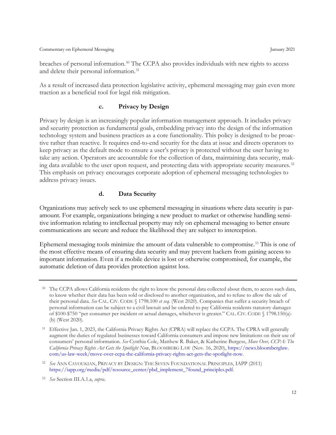breaches of personal information.[30](#page-17-0) The CCPA also provides individuals with new rights to access and delete their personal information. [31](#page-17-1)

As a result of increased data protection legislative activity, ephemeral messaging may gain even more traction as a beneficial tool for legal risk mitigation.

#### **c. Privacy by Design**

Privacy by design is an increasingly popular information management approach. It includes privacy and security protection as fundamental goals, embedding privacy into the design of the information technology system and business practices as a core functionality. This policy is designed to be proactive rather than reactive. It requires end-to-end security for the data at issue and directs operators to keep privacy as the default mode to ensure a user's privacy is protected without the user having to take any action. Operators are accountable for the collection of data, maintaining data security, mak-ing data available to the user upon request, and protecting data with appropriate security measures.<sup>[32](#page-17-2)</sup> This emphasis on privacy encourages corporate adoption of ephemeral messaging technologies to address privacy issues.

#### **d. Data Security**

Organizations may actively seek to use ephemeral messaging in situations where data security is paramount. For example, organizations bringing a new product to market or otherwise handling sensitive information relating to intellectual property may rely on ephemeral messaging to better ensure communications are secure and reduce the likelihood they are subject to interception.

Ephemeral messaging tools minimize the amount of data vulnerable to compromise. [33](#page-17-3) This is one of the most effective means of ensuring data security and may prevent hackers from gaining access to important information. Even if a mobile device is lost or otherwise compromised, for example, the automatic deletion of data provides protection against loss.

<span id="page-17-0"></span><sup>30</sup> The CCPA allows California residents the right to know the personal data collected about them, to access such data, to know whether their data has been sold or disclosed to another organization, and to refuse to allow the sale of their personal data. *See* CAL. CIV. CODE § 1798.100 *et seq.* (West 2020). Companies that suffer a security breach of personal information can be subject to a civil lawsuit and be ordered to pay California residents statutory damages of \$100-\$750 "per consumer per incident or actual damages, whichever is greater." CAL. CIV. CODE § 1798.150(a)- (b) (West 2020).

<span id="page-17-1"></span>Effective Jan. 1, 2023, the California Privacy Rights Act (CPRA) will replace the CCPA. The CPRA will generally augment the duties of regulated businesses toward California consumers and impose new limitations on their use of consumers' personal information. *See* Cynthia Cole, Matthew R. Baker, & Katherine Burgess, *Move Over, CCPA: The California Privacy Rights Act Gets the Spotlight Now*, BLOOMBERG LAW (Nov. 16, 2020), [https://news.bloomberglaw.](https://news.bloomberglaw.com/us-law-week/move-over-ccpa-the-california-privacy-rights-act-gets-the-spotlight-now) [com/us-law-week/move-over-ccpa-the-california-privacy-rights-act-gets-the-spotlight-now.](https://news.bloomberglaw.com/us-law-week/move-over-ccpa-the-california-privacy-rights-act-gets-the-spotlight-now)

<span id="page-17-2"></span><sup>32</sup> *See* ANN CAVOUKIAN, PRIVACY BY DESIGN: THE SEVEN FOUNDATIONAL PRINCIPLES, IAPP (2011) [https://iapp.org/media/pdf/resource\\_center/pbd\\_implement\\_7found\\_principles.pdf.](https://iapp.org/media/pdf/resource_center/pbd_implement_7found_principles.pdf)

<span id="page-17-3"></span><sup>33</sup> *See* Section III.A.1.a, *supra*.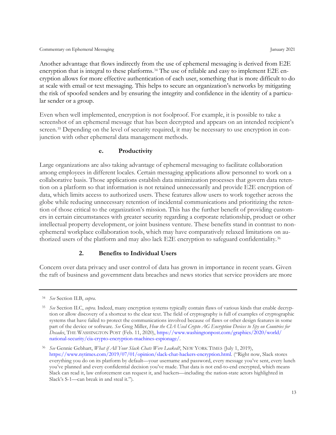Another advantage that flows indirectly from the use of ephemeral messaging is derived from E2E encryption that is integral to these platforms.<sup>[34](#page-18-1)</sup> The use of reliable and easy to implement E2E encryption allows for more effective authentication of each user, something that is more difficult to do at scale with email or text messaging. This helps to secure an organization's networks by mitigating the risk of spoofed senders and by ensuring the integrity and confidence in the identity of a particular sender or a group.

Even when well implemented, encryption is not foolproof. For example, it is possible to take a screenshot of an ephemeral message that has been decrypted and appears on an intended recipient's screen.<sup>[35](#page-18-2)</sup> Depending on the level of security required, it may be necessary to use encryption in conjunction with other ephemeral data management methods.

#### **e. Productivity**

Large organizations are also taking advantage of ephemeral messaging to facilitate collaboration among employees in different locales. Certain messaging applications allow personnel to work on a collaborative basis. Those applications establish data minimization processes that govern data retention on a platform so that information is not retained unnecessarily and provide E2E encryption of data, which limits access to authorized users. These features allow users to work together across the globe while reducing unnecessary retention of incidental communications and prioritizing the retention of those critical to the organization's mission. This has the further benefit of providing customers in certain circumstances with greater security regarding a corporate relationship, product or other intellectual property development, or joint business venture. These benefits stand in contrast to nonephemeral workplace collaboration tools, which may have comparatively relaxed limitations on au-thorized users of the platform and may also lack E2E encryption to safeguard confidentiality.<sup>[36](#page-18-3)</sup>

#### **2. Benefits to Individual Users**

<span id="page-18-0"></span>Concern over data privacy and user control of data has grown in importance in recent years. Given the raft of business and government data breaches and news stories that service providers are more

<span id="page-18-1"></span><sup>34</sup> *See* Section II.B, *supra*.

<span id="page-18-2"></span><sup>35</sup> *See* Section II.C, *supra*. Indeed, many encryption systems typically contain flaws of various kinds that enable decryption or allow discovery of a shortcut to the clear text. The field of cryptography is full of examples of cryptographic systems that have failed to protect the communications involved because of flaws or other design features in some part of the device or software. *See* Greg Miller, *How the CIA Used Crypto AG Encryption Devices to Spy on Countries for Decades*, THE WASHINGTON POST (Feb. 11, 2020), [https://www.washingtonpost.com/graphics/2020/world/](https://www.washingtonpost.com/graphics/2020/world/national-security/cia-crypto-encryption-machines-espionage/) [national-security/cia-crypto-encryption-machines-espionage/.](https://www.washingtonpost.com/graphics/2020/world/national-security/cia-crypto-encryption-machines-espionage/)

<span id="page-18-3"></span><sup>36</sup> *See* Gennie Gebhart, *What if All Your Slack Chats Were Leaked?*, NEW YORK TIMES (July 1, 2019), [https://www.nytimes.com/2019/07/01/opinion/slack-chat-hackers-encryption.html.](https://www.nytimes.com/2019/07/01/opinion/slack-chat-hackers-encryption.html) ("Right now, Slack stores everything you do on its platform by default—your username and password, every message you've sent, every lunch you've planned and every confidential decision you've made. That data is not end-to-end encrypted, which means Slack can read it, law enforcement can request it, and hackers—including the nation-state actors highlighted in Slack's S-1—can break in and steal it.").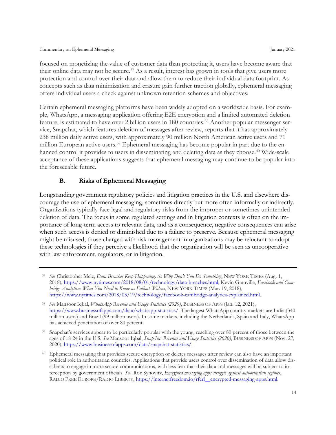focused on monetizing the value of customer data than protecting it, users have become aware that their online data may not be secure.<sup>[37](#page-19-1)</sup> As a result, interest has grown in tools that give users more protection and control over their data and allow them to reduce their individual data footprint. As concepts such as data minimization and erasure gain further traction globally, ephemeral messaging offers individual users a check against unknown retention schemes and objectives.

Certain ephemeral messaging platforms have been widely adopted on a worldwide basis. For example, WhatsApp, a messaging application offering E2E encryption and a limited automated deletion feature, is estimated to have over 2 billion users in 180 countries.<sup>[38](#page-19-2)</sup> Another popular messenger service, Snapchat, which features deletion of messages after review, reports that it has approximately 238 million daily active users, with approximately 90 million North American active users and 71 million European active users.<sup>[39](#page-19-3)</sup> Ephemeral messaging has become popular in part due to the en-hanced control it provides to users in disseminating and deleting data as they choose.<sup>[40](#page-19-4)</sup> Wide-scale acceptance of these applications suggests that ephemeral messaging may continue to be popular into the foreseeable future.

#### **B. Risks of Ephemeral Messaging**

<span id="page-19-0"></span>Longstanding government regulatory policies and litigation practices in the U.S. and elsewhere discourage the use of ephemeral messaging, sometimes directly but more often informally or indirectly. Organizations typically face legal and regulatory risks from the improper or sometimes unintended deletion of data. The focus in some regulated settings and in litigation contexts is often on the importance of long-term access to relevant data, and as a consequence, negative consequences can arise when such access is denied or diminished due to a failure to preserve. Because ephemeral messaging might be misused, those charged with risk management in organizations may be reluctant to adopt these technologies if they perceive a likelihood that the organization will be seen as uncooperative with law enforcement, regulators, or in litigation.

<span id="page-19-1"></span><sup>37</sup> *See* Christopher Mele, *Data Breaches Keep Happening. So Why Don't You Do Something*, NEW YORK TIMES (Aug. 1, 2018), [https://www.nytimes.com/2018/08/01/technology/data-breaches.html;](https://www.nytimes.com/2018/08/01/technology/data-breaches.html) Kevin Granville, *Facebook and Cambridge Analytica: What You Need to Know as Fallout Widens*, NEW YORK TIMES (Mar. 19, 2018), [https://www.nytimes.com/2018/03/19/technology/facebook-cambridge-analytica-explained.html.](https://www.nytimes.com/2018/03/19/technology/facebook-cambridge-analytica-explained.html)

<span id="page-19-2"></span><sup>38</sup> *See* Mansoor Iqbal, *WhatsApp Revenue and Usage Statistics (2020)*, BUSINESS OF APPS (Jan. 12, 2021), [https://www.businessofapps.com/data/whatsapp-statistics/.](https://www.businessofapps.com/data/whatsapp-statistics/) The largest WhatsApp country markets are India (340 million users) and Brazil (99 million users). In some markets, including the Netherlands, Spain and Italy, WhatsApp has achieved penetration of over 80 percent.

<span id="page-19-3"></span><sup>&</sup>lt;sup>39</sup> Snapchat's services appear to be particularly popular with the young, reaching over 80 percent of those between the ages of 18-24 in the U.S. *See* Mansoor Iqbal, *Snap Inc. Revenue and Usage Statistics (2020)*, BUSINESS OF APPS (Nov. 27, 2020), [https://www.businessofapps.com/data/snapchat-statistics/.](https://www.businessofapps.com/data/snapchat-statistics/)

<span id="page-19-4"></span><sup>40</sup> Ephemeral messaging that provides secure encryption or deletes messages after review can also have an important political role in authoritarian countries. Applications that provide users control over dissemination of data allow dissidents to engage in more secure communications, with less fear that their data and messages will be subject to interception by government officials. *See* Ron Synovitz, *Encrypted messaging apps struggle against authoritarian regimes*, RADIO FREE EUROPE/RADIO LIBERTY, [https://internetfreedom.io/rferl\\_\\_encrypted-messaging-apps.html.](https://internetfreedom.io/rferl__encrypted-messaging-apps.html)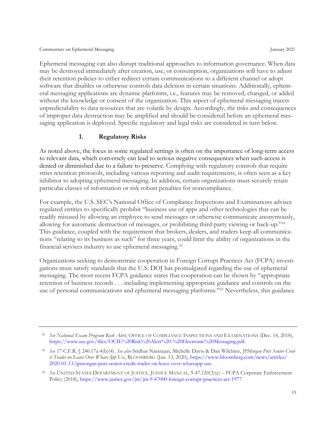Ephemeral messaging can also disrupt traditional approaches to information governance. When data may be destroyed immediately after creation, use, or consumption, organizations will have to adjust their retention policies to either redirect certain communications to a different channel or adopt software that disables or otherwise controls data deletion in certain situations. Additionally, ephemeral messaging applications are dynamic platforms, i.e., features may be removed, changed, or added without the knowledge or consent of the organization. This aspect of ephemeral messaging injects unpredictability to data resources that are volatile by design. Accordingly, the risks and consequences of improper data destruction may be amplified and should be considered before an ephemeral messaging application is deployed. Specific regulatory and legal risks are considered in turn below.

#### **1. Regulatory Risks**

<span id="page-20-0"></span>As noted above, the focus in some regulated settings is often on the importance of long-term access to relevant data, which conversely can lead to serious negative consequences when such access is denied or diminished due to a failure to preserve. Complying with regulatory controls that require strict retention protocols, including various reporting and audit requirements, is often seen as a key inhibitor to adopting ephemeral messaging. In addition, certain organizations must securely retain particular classes of information or risk robust penalties for noncompliance.

For example, the U.S. SEC's National Office of Compliance Inspections and Examinations advises regulated entities to specifically prohibit "business use of apps and other technologies that can be readily misused by allowing an employee to send messages or otherwise communicate anonymously, allowing for automatic destruction of messages, or prohibiting third-party viewing or back-up."[41](#page-20-1) This guidance, coupled with the requirement that brokers, dealers, and traders keep all communications "relating to its business as such" for three years, could limit the ability of organizations in the financial services industry to use ephemeral messaging[.42](#page-20-2)

Organizations seeking to demonstrate cooperation in Foreign Corrupt Practices Act (FCPA) investigations must satisfy standards that the U.S. DOJ has promulgated regarding the use of ephemeral messaging. The most recent FCPA guidance states that cooperation can be shown by "appropriate retention of business records . . . including implementing appropriate guidance and controls on the use of personal communications and ephemeral messaging platforms."[43](#page-20-3) Nevertheless, this guidance

<span id="page-20-1"></span><sup>41</sup> *See National Exam Program Risk Alert*, OFFICE OF COMPLIANCE INSPECTIONS AND EXAMINATIONS (Dec. 14, 2018), [https://www.sec.gov/files/OCIE%20Risk%20Alert%20-%20Electronic%20Messaging.pdf.](https://www.sec.gov/files/OCIE%20Risk%20Alert%20-%20Electronic%20Messaging.pdf)

<span id="page-20-2"></span><sup>42</sup> *See* 17 C.F.R. § 240.17a-4(b)(4). *See also* Sridhar Natarajan, Michelle Davis & Dan Wilchins, *JPMorgan Puts Senior Credit Trader on Leave Over WhatsApp Use*, BLOOMBERG (Jan. 13, 2020)[, https://www.bloomberg.com/news/articles/](https://www.bloomberg.com/news/articles/2020-01-13/jpmorgan-puts-senior-credit-trader-on-leave-over-whatsapp-use) [2020-01-13/jpmorgan-puts-senior-credit-trader-on-leave-over-whatsapp-use.](https://www.bloomberg.com/news/articles/2020-01-13/jpmorgan-puts-senior-credit-trader-on-leave-over-whatsapp-use)

<span id="page-20-3"></span><sup>43</sup> *See* UNITED STATES DEPARTMENT OF JUSTICE, JUSTICE MANUAL, 9-47.120(3)(c) – FCPA Corporate Enforcement Policy (2018), [https://www.justice.gov/jm/jm-9-47000-foreign-corrupt-practices-act-1977.](https://www.justice.gov/jm/jm-9-47000-foreign-corrupt-practices-act-1977)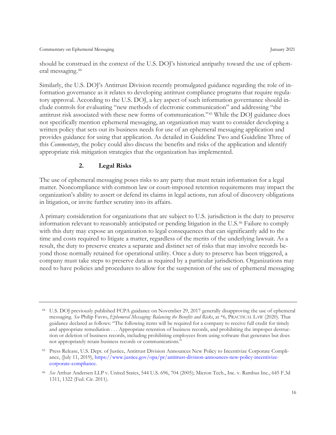should be construed in the context of the U.S. DOJ's historical antipathy toward the use of ephemeral messaging.[44](#page-21-1)

Similarly, the U.S. DOJ's Antitrust Division recently promulgated guidance regarding the role of information governance as it relates to developing antitrust compliance programs that require regulatory approval. According to the U.S. DOJ, a key aspect of such information governance should include controls for evaluating "new methods of electronic communication" and addressing "the antitrust risk associated with these new forms of communication."[45](#page-21-2) While the DOJ guidance does not specifically mention ephemeral messaging, an organization may want to consider developing a written policy that sets out its business needs for use of an ephemeral messaging application and provides guidance for using that application. As detailed in Guideline Two and Guideline Three of this *Commentary*, the policy could also discuss the benefits and risks of the application and identify appropriate risk mitigation strategies that the organization has implemented.

#### **2. Legal Risks**

<span id="page-21-0"></span>The use of ephemeral messaging poses risks to any party that must retain information for a legal matter. Noncompliance with common law or court-imposed retention requirements may impact the organization's ability to assert or defend its claims in legal actions, run afoul of discovery obligations in litigation, or invite further scrutiny into its affairs.

A primary consideration for organizations that are subject to U.S. jurisdiction is the duty to preserve information relevant to reasonably anticipated or pending litigation in the U.S. [46](#page-21-3) Failure to comply with this duty may expose an organization to legal consequences that can significantly add to the time and costs required to litigate a matter, regardless of the merits of the underlying lawsuit. As a result, the duty to preserve creates a separate and distinct set of risks that may involve records beyond those normally retained for operational utility. Once a duty to preserve has been triggered, a company must take steps to preserve data as required by a particular jurisdiction. Organizations may need to have policies and procedures to allow for the suspension of the use of ephemeral messaging

<span id="page-21-1"></span><sup>44</sup> U.S. DOJ previously published FCPA guidance on November 29, 2017 generally disapproving the use of ephemeral messaging. *See* Philip Favro, *Ephemeral Messaging: Balancing the Benefits and Risks*, at \*6, PRACTICAL LAW (2020). That guidance declared as follows: "The following items will be required for a company to receive full credit for timely and appropriate remediation . . . Appropriate retention of business records, and prohibiting the improper destruction or deletion of business records, including prohibiting employees from using software that generates but does not appropriately retain business records or communications."

<span id="page-21-2"></span><sup>45</sup> Press Release, U.S. Dept. of Justice, Antitrust Division Announces New Policy to Incentivize Corporate Compliance, (July 11, 2019)[, https://www.justice.gov/opa/pr/antitrust-division-announces-new-policy-incentivize](https://www.justice.gov/opa/pr/antitrust-division-announces-new-policy-incentivize-corporate-compliance)[corporate-compliance.](https://www.justice.gov/opa/pr/antitrust-division-announces-new-policy-incentivize-corporate-compliance)

<span id="page-21-3"></span><sup>46</sup> *See* Arthur Andersen LLP v. United States, 544 U.S. 696, 704 (2005); Micron Tech., Inc. v. Rambus Inc., 645 F.3d 1311, 1322 (Fed. Cir. 2011).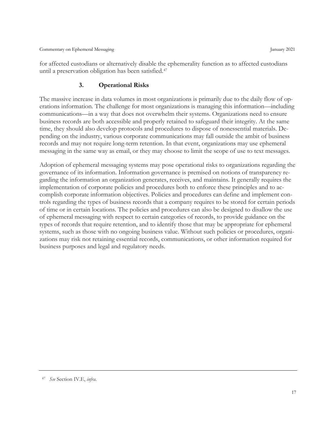<span id="page-22-0"></span>for affected custodians or alternatively disable the ephemerality function as to affected custodians until a preservation obligation has been satisfied.[47](#page-22-1)

#### **3. Operational Risks**

The massive increase in data volumes in most organizations is primarily due to the daily flow of operations information. The challenge for most organizations is managing this information—including communications—in a way that does not overwhelm their systems. Organizations need to ensure business records are both accessible and properly retained to safeguard their integrity. At the same time, they should also develop protocols and procedures to dispose of nonessential materials. Depending on the industry, various corporate communications may fall outside the ambit of business records and may not require long-term retention. In that event, organizations may use ephemeral messaging in the same way as email, or they may choose to limit the scope of use to text messages.

Adoption of ephemeral messaging systems may pose operational risks to organizations regarding the governance of its information. Information governance is premised on notions of transparency regarding the information an organization generates, receives, and maintains. It generally requires the implementation of corporate policies and procedures both to enforce these principles and to accomplish corporate information objectives. Policies and procedures can define and implement controls regarding the types of business records that a company requires to be stored for certain periods of time or in certain locations. The policies and procedures can also be designed to disallow the use of ephemeral messaging with respect to certain categories of records, to provide guidance on the types of records that require retention, and to identify those that may be appropriate for ephemeral systems, such as those with no ongoing business value. Without such policies or procedures, organizations may risk not retaining essential records, communications, or other information required for business purposes and legal and regulatory needs.

<span id="page-22-1"></span><sup>47</sup> *See* Section IV.E, *infra*.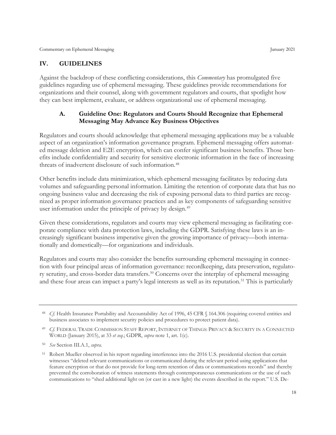#### <span id="page-23-0"></span>**IV. GUIDELINES**

Against the backdrop of these conflicting considerations, this *Commentary* has promulgated five guidelines regarding use of ephemeral messaging. These guidelines provide recommendations for organizations and their counsel, along with government regulators and courts, that spotlight how they can best implement, evaluate, or address organizational use of ephemeral messaging.

#### <span id="page-23-1"></span>**A. Guideline One: Regulators and Courts Should Recognize that Ephemeral Messaging May Advance Key Business Objectives**

Regulators and courts should acknowledge that ephemeral messaging applications may be a valuable aspect of an organization's information governance program. Ephemeral messaging offers automated message deletion and E2E encryption, which can confer significant business benefits. Those benefits include confidentiality and security for sensitive electronic information in the face of increasing threats of inadvertent disclosure of such information.<sup>[48](#page-23-2)</sup>

Other benefits include data minimization, which ephemeral messaging facilitates by reducing data volumes and safeguarding personal information. Limiting the retention of corporate data that has no ongoing business value and decreasing the risk of exposing personal data to third parties are recognized as proper information governance practices and as key components of safeguarding sensitive user information under the principle of privacy by design.<sup>[49](#page-23-3)</sup>

Given these considerations, regulators and courts may view ephemeral messaging as facilitating corporate compliance with data protection laws, including the GDPR. Satisfying these laws is an increasingly significant business imperative given the growing importance of privacy—both internationally and domestically—for organizations and individuals.

Regulators and courts may also consider the benefits surrounding ephemeral messaging in connection with four principal areas of information governance: recordkeeping, data preservation, regulato-ry scrutiny, and cross-border data transfers.<sup>[50](#page-23-4)</sup> Concerns over the interplay of ephemeral messaging and these four areas can impact a party's legal interests as well as its reputation.<sup>[51](#page-23-5)</sup> This is particularly

<span id="page-23-2"></span><sup>48</sup> *Cf*. Health Insurance Portability and Accountability Act of 1996, 45 CFR § 164.306 (requiring covered entities and business associates to implement security policies and procedures to protect patient data).

<span id="page-23-3"></span><sup>49</sup> *Cf.* FEDERAL TRADE COMMISSION STAFF REPORT, INTERNET OF THINGS: PRIVACY & SECURITY IN A CONNECTED WORLD (January 2015), at 33 *et seq.*; GDPR, *supra* note 1, art. 1(c).

<span id="page-23-4"></span><sup>50</sup> *See* Section III.A.1, *supra*.

<span id="page-23-5"></span><sup>51</sup> Robert Mueller observed in his report regarding interference into the 2016 U.S. presidential election that certain witnesses "deleted relevant communications or communicated during the relevant period using applications that feature encryption or that do not provide for long-term retention of data or communications records" and thereby prevented the corroboration of witness statements through contemporaneous communications or the use of such communications to "shed additional light on (or cast in a new light) the events described in the report." U.S. De-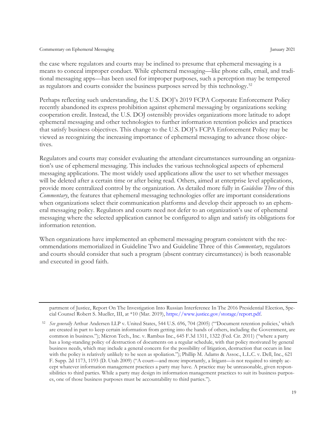the case where regulators and courts may be inclined to presume that ephemeral messaging is a means to conceal improper conduct. While ephemeral messaging—like phone calls, email, and traditional messaging apps—has been used for improper purposes, such a perception may be tempered as regulators and courts consider the business purposes served by this technology.<sup>[52](#page-24-0)</sup>

Perhaps reflecting such understanding, the U.S. DOJ's 2019 FCPA Corporate Enforcement Policy recently abandoned its express prohibition against ephemeral messaging by organizations seeking cooperation credit. Instead, the U.S. DOJ ostensibly provides organizations more latitude to adopt ephemeral messaging and other technologies to further information retention policies and practices that satisfy business objectives. This change to the U.S. DOJ's FCPA Enforcement Policy may be viewed as recognizing the increasing importance of ephemeral messaging to advance those objectives.

Regulators and courts may consider evaluating the attendant circumstances surrounding an organization's use of ephemeral messaging. This includes the various technological aspects of ephemeral messaging applications. The most widely used applications allow the user to set whether messages will be deleted after a certain time or after being read. Others, aimed at enterprise level applications, provide more centralized control by the organization. As detailed more fully in *Guideline Three* of this *Commentary*, the features that ephemeral messaging technologies offer are important considerations when organizations select their communication platforms and develop their approach to an ephemeral messaging policy. Regulators and courts need not defer to an organization's use of ephemeral messaging where the selected application cannot be configured to align and satisfy its obligations for information retention.

When organizations have implemented an ephemeral messaging program consistent with the recommendations memorialized in Guideline Two and Guideline Three of this *Commentary*, regulators and courts should consider that such a program (absent contrary circumstances) is both reasonable and executed in good faith.

partment of Justice, Report On The Investigation Into Russian Interference In The 2016 Presidential Election, Special Counsel Robert S. Mueller, III, at \*10 (Mar. 2019), [https://www.justice.gov/storage/report.pdf.](https://www.justice.gov/storage/report.pdf)

<span id="page-24-0"></span><sup>52</sup> *See generally* Arthur Andersen LLP v. United States, 544 U.S. 696, 704 (2005) ("'Document retention policies,' which are created in part to keep certain information from getting into the hands of others, including the Government, are common in business."); Micron Tech., Inc. v. Rambus Inc., 645 F.3d 1311, 1322 (Fed. Cir. 2011) ("where a party has a long-standing policy of destruction of documents on a regular schedule, with that policy motivated by general business needs, which may include a general concern for the possibility of litigation, destruction that occurs in line with the policy is relatively unlikely to be seen as spoliation."); Phillip M. Adams & Assoc., L.L.C. v. Dell, Inc., 621 F. Supp. 2d 1173, 1193 (D. Utah 2009) ("A court—and more importantly, a litigant—is not required to simply accept whatever information management practices a party may have. A practice may be unreasonable, given responsibilities to third parties. While a party may design its information management practices to suit its business purposes, one of those business purposes must be accountability to third parties.").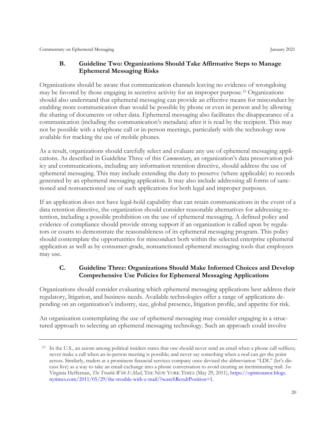#### <span id="page-25-0"></span>**B. Guideline Two: Organizations Should Take Affirmative Steps to Manage Ephemeral Messaging Risks**

Organizations should be aware that communication channels leaving no evidence of wrongdoing may be favored by those engaging in secretive activity for an improper purpose.[53](#page-25-2) Organizations should also understand that ephemeral messaging can provide an effective means for misconduct by enabling more communication than would be possible by phone or even in person and by allowing the sharing of documents or other data. Ephemeral messaging also facilitates the disappearance of a communication (including the communication's metadata) after it is read by the recipient. This may not be possible with a telephone call or in-person meetings, particularly with the technology now available for tracking the use of mobile phones.

As a result, organizations should carefully select and evaluate any use of ephemeral messaging applications. As described in Guideline Three of this *Commentary*, an organization's data preservation policy and communications, including any information retention directive, should address the use of ephemeral messaging. This may include extending the duty to preserve (where applicable) to records generated by an ephemeral messaging application. It may also include addressing all forms of sanctioned and nonsanctioned use of such applications for both legal and improper purposes.

If an application does not have legal-hold capability that can retain communications in the event of a data retention directive, the organization should consider reasonable alternatives for addressing retention, including a possible prohibition on the use of ephemeral messaging. A defined policy and evidence of compliance should provide strong support if an organization is called upon by regulators or courts to demonstrate the reasonableness of its ephemeral messaging program. This policy should contemplate the opportunities for misconduct both within the selected enterprise ephemeral application as well as by consumer-grade, nonsanctioned ephemeral messaging tools that employees may use.

#### <span id="page-25-1"></span>**C. Guideline Three: Organizations Should Make Informed Choices and Develop Comprehensive Use Policies for Ephemeral Messaging Applications**

Organizations should consider evaluating which ephemeral messaging applications best address their regulatory, litigation, and business needs. Available technologies offer a range of applications depending on an organization's industry, size, global presence, litigation profile, and appetite for risk.

An organization contemplating the use of ephemeral messaging may consider engaging in a structured approach to selecting an ephemeral messaging technology. Such an approach could involve

<span id="page-25-2"></span><sup>53</sup> In the U.S., an axiom among political insiders states that one should never send an email when a phone call suffices; never make a call when an in-person meeting is possible; and never say something when a nod can get the point across. Similarly, traders at a prominent financial services company once devised the abbreviation "LDL" (let's discuss live) as a way to take an email exchange into a phone conversation to avoid creating an incriminating trail. *See* Virginia Heffernan, *The Trouble With E-Mail*, THE NEW YORK TIMES (May 29, 2011)[, https://opinionator.blogs.](https://opinionator.blogs.nytimes.com/2011/05/29/the-trouble-with-e-mail/?searchResultPosition=1) [nytimes.com/2011/05/29/the-trouble-with-e-mail/?searchResultPosition=1.](https://opinionator.blogs.nytimes.com/2011/05/29/the-trouble-with-e-mail/?searchResultPosition=1)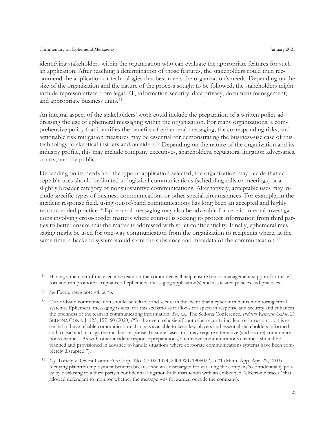identifying stakeholders within the organization who can evaluate the appropriate features for such an application. After reaching a determination of those features, the stakeholders could then recommend the application or technologies that best meets the organization's needs. Depending on the size of the organization and the nature of the process sought to be followed, the stakeholders might include representatives from legal, IT, information security, data privacy, document management, and appropriate business units.<sup>[54](#page-26-0)</sup>

An integral aspect of the stakeholders' work could include the preparation of a written policy addressing the use of ephemeral messaging within the organization. For many organizations, a comprehensive policy that identifies the benefits of ephemeral messaging, the corresponding risks, and actionable risk mitigation measures may be essential for demonstrating the business-use case of this technology to skeptical insiders and outsiders. [55](#page-26-1) Depending on the nature of the organization and its industry profile, this may include company executives, shareholders, regulators, litigation adversaries, courts, and the public.

Depending on its needs and the type of application selected, the organization may decide that acceptable uses should be limited to logistical communications (scheduling calls or meetings) or a slightly broader category of nonsubstantive communications. Alternatively, acceptable uses may include specific types of business communications or other special circumstances. For example, in the incident response field, using out-of-band communications has long been an accepted and highly recommended practice. [56](#page-26-2) Ephemeral messaging may also be advisable for certain internal investigations involving cross-border matters where counsel is seeking to protect information from third parties to better ensure that the matter is addressed with strict confidentiality. Finally, ephemeral messaging might be used for one-way communication from the organization to recipients where, at the same time, a backend system would store the substance and metadata of the communication.<sup>[57](#page-26-3)</sup>

<span id="page-26-0"></span><sup>54</sup> Having a member of the executive team on the committee will help ensure senior management support for this effort and can promote acceptance of ephemeral messaging application(s) and associated policies and practices.

<span id="page-26-1"></span><sup>55</sup> *See* Favro, *supra* note 44, at \*6.

<span id="page-26-2"></span><sup>56</sup> Out-of-band communication should be reliable and secure in the event that a cyber intruder is monitoring email systems. Ephemeral messaging is ideal for this scenario as it allows for speed in response and security and enhances the openness of the team in communicating information. *See, e.g.*, The Sedona Conference, *Incident Response Guide*, 21 SEDONA CONF. J. 125, 157–60 (2020) ("In the event of a significant cybersecurity incident or intrusion . . . it is essential to have reliable communication channels available to keep key players and essential stakeholders informed, and to lead and manage the incident response. In some cases, this may require alternative (and secure) communications channels. As with other incident response preparations, alternative communications channels should be planned and provisioned in advance to handle situations where corporate communications systems have been completely disrupted.").

<span id="page-26-3"></span><sup>57</sup> *C.f.* Toftely v. Qwest Commc'ns Corp., No. C3-02-1474, 2003 WL 1908022, at \*1 (Minn. App. Apr. 22, 2003) (denying plaintiff employment benefits because she was discharged for violating the company's confidentiality policy by disclosing to a third party a confidential litigation hold instruction with an embedded "electronic tracer" that allowed defendant to monitor whether the message was forwarded outside the company).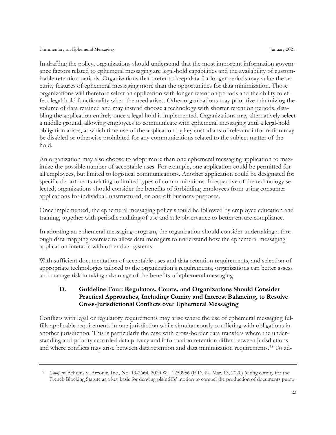In drafting the policy, organizations should understand that the most important information governance factors related to ephemeral messaging are legal-hold capabilities and the availability of customizable retention periods. Organizations that prefer to keep data for longer periods may value the security features of ephemeral messaging more than the opportunities for data minimization. Those organizations will therefore select an application with longer retention periods and the ability to effect legal-hold functionality when the need arises. Other organizations may prioritize minimizing the volume of data retained and may instead choose a technology with shorter retention periods, disabling the application entirely once a legal hold is implemented. Organizations may alternatively select a middle ground, allowing employees to communicate with ephemeral messaging until a legal-hold obligation arises, at which time use of the application by key custodians of relevant information may be disabled or otherwise prohibited for any communications related to the subject matter of the hold.

An organization may also choose to adopt more than one ephemeral messaging application to maximize the possible number of acceptable uses. For example, one application could be permitted for all employees, but limited to logistical communications. Another application could be designated for specific departments relating to limited types of communications. Irrespective of the technology selected, organizations should consider the benefits of forbidding employees from using consumer applications for individual, unstructured, or one-off business purposes.

Once implemented, the ephemeral messaging policy should be followed by employee education and training, together with periodic auditing of use and rule observance to better ensure compliance.

In adopting an ephemeral messaging program, the organization should consider undertaking a thorough data mapping exercise to allow data managers to understand how the ephemeral messaging application interacts with other data systems.

With sufficient documentation of acceptable uses and data retention requirements, and selection of appropriate technologies tailored to the organization's requirements, organizations can better assess and manage risk in taking advantage of the benefits of ephemeral messaging.

#### <span id="page-27-0"></span>**D. Guideline Four: Regulators, Courts, and Organizations Should Consider Practical Approaches, Including Comity and Interest Balancing, to Resolve Cross-Jurisdictional Conflicts over Ephemeral Messaging**

Conflicts with legal or regulatory requirements may arise where the use of ephemeral messaging fulfills applicable requirements in one jurisdiction while simultaneously conflicting with obligations in another jurisdiction. This is particularly the case with cross-border data transfers where the understanding and priority accorded data privacy and information retention differ between jurisdictions and where conflicts may arise between data retention and data minimization requirements.[58](#page-27-1) To ad-

<span id="page-27-1"></span><sup>58</sup> *Compare* Behrens v. Arconic, Inc., No. 19-2664, 2020 WL 1250956 (E.D. Pa. Mar. 13, 2020) (citing comity for the French Blocking Statute as a key basis for denying plaintiffs' motion to compel the production of documents pursu-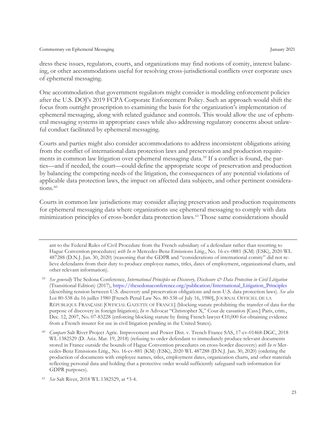dress these issues, regulators, courts, and organizations may find notions of comity, interest balancing, or other accommodations useful for resolving cross-jurisdictional conflicts over corporate uses of ephemeral messaging.

One accommodation that government regulators might consider is modeling enforcement policies after the U.S. DOJ's 2019 FCPA Corporate Enforcement Policy. Such an approach would shift the focus from outright proscription to examining the basis for the organization's implementation of ephemeral messaging, along with related guidance and controls. This would allow the use of ephemeral messaging systems in appropriate cases while also addressing regulatory concerns about unlawful conduct facilitated by ephemeral messaging.

Courts and parties might also consider accommodations to address inconsistent obligations arising from the conflict of international data protection laws and preservation and production requirements in common law litigation over ephemeral messaging data. [59](#page-28-0) If a conflict is found, the parties—and if needed, the court—could define the appropriate scope of preservation and production by balancing the competing needs of the litigation, the consequences of any potential violations of applicable data protection laws, the impact on affected data subjects, and other pertinent considera-tions.<sup>[60](#page-28-1)</sup>

Courts in common law jurisdictions may consider allaying preservation and production requirements for ephemeral messaging data where organizations use ephemeral messaging to comply with data minimization principles of cross-border data protection laws.[61](#page-28-2) Those same considerations should

ant to the Federal Rules of Civil Procedure from the French subsidiary of a defendant rather than resorting to Hague Convention procedures) *with In re* Mercedes-Benz Emissions Litig., No. 16-cv-0881 (KM) (ESK), 2020 WL 487288 (D.N.J. Jan. 30, 2020) (reasoning that the GDPR and "considerations of international comity" did not relieve defendants from their duty to produce employee names, titles, dates of employment, organizational charts, and other relevant information).

- <span id="page-28-0"></span><sup>59</sup> *See generally* The Sedona Conference, *International Principles on Discovery, Disclosure & Data Protection in Civil Litigation* (Transitional Edition) (2017), [https://thesedonaconference.org/publication/International\\_Litigation\\_Principles](https://thesedonaconference.org/publication/International_Litigation_Principles) (describing tension between U.S. discovery and preservation obligations and non-U.S. data protection laws). *See also*  Loi 80-538 du 16 juillet 1980 [French Penal Law No. 80-538 of July 16, 1980], JOURNAL OFFICIEL DE LA RÉPUBLIQUE FRANҪAISE [OFFICIAL GAZETTE OF FRANCE] (blocking statute prohibiting the transfer of data for the purpose of discovery in foreign litigation); *In re* Advocat "Christopher X," Cour de cassation [Cass.] Paris, crim., Dec. 12, 2007, No. 07-83228 (enforcing blocking statute by fining French lawyer €10,000 for obtaining evidence from a French insurer for use in civil litigation pending in the United States).
- <span id="page-28-1"></span><sup>60</sup> *Compare* Salt River Project Agric. Improvement and Power Dist. v. Trench France SAS, 17-cv-01468-DGC, 2018 WL 1382529 (D. Ariz. Mar. 19, 2018) (refusing to order defendant to immediately produce relevant documents stored in France outside the bounds of Hague Convention procedures on cross-border discovery) *with In re* Mercedes-Benz Emissions Litig., No. 16-cv-881 (KM) (ESK), 2020 WL 487288 (D.N.J. Jan. 30, 2020) (ordering the production of documents with employee names, titles, employment dates, organization charts, and other materials reflecting personal data and holding that a protective order would sufficiently safeguard such information for GDPR purposes).

<span id="page-28-2"></span><sup>61</sup> *See* Salt River, 2018 WL 1382529, at \*3-4.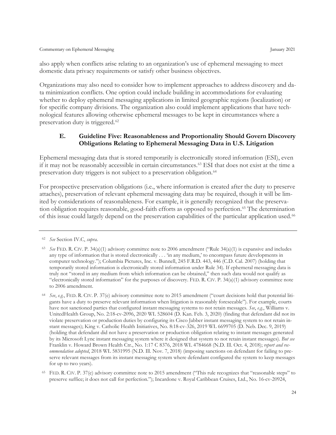also apply when conflicts arise relating to an organization's use of ephemeral messaging to meet domestic data privacy requirements or satisfy other business objectives.

Organizations may also need to consider how to implement approaches to address discovery and data minimization conflicts. One option could include building in accommodations for evaluating whether to deploy ephemeral messaging applications in limited geographic regions (localization) or for specific company divisions. The organization also could implement applications that have technological features allowing otherwise ephemeral messages to be kept in circumstances where a preservation duty is triggered.[62](#page-29-1)

#### <span id="page-29-0"></span>**E. Guideline Five: Reasonableness and Proportionality Should Govern Discovery Obligations Relating to Ephemeral Messaging Data in U.S. Litigation**

Ephemeral messaging data that is stored temporarily is electronically stored information (ESI), even if it may not be reasonably accessible in certain circumstances. [63](#page-29-2) ESI that does not exist at the time a preservation duty triggers is not subject to a preservation obligation.<sup>[64](#page-29-3)</sup>

For prospective preservation obligations (i.e., where information is created after the duty to preserve attaches), preservation of relevant ephemeral messaging data may be required, though it will be limited by considerations of reasonableness. For example, it is generally recognized that the preservation obligation requires reasonable, good-faith efforts as opposed to perfection.[65](#page-29-4) The determination of this issue could largely depend on the preservation capabilities of the particular application used.<sup>[66](#page-29-5)</sup>

<span id="page-29-1"></span><sup>62</sup> *See* Section IV.C, *supra*.

<span id="page-29-5"></span><span id="page-29-2"></span><sup>63</sup> *See* FED. R. CIV. P. 34(a)(1) advisory committee note to 2006 amendment ("Rule 34(a)(1) is expansive and includes any type of information that is stored electronically . . . 'in any medium,' to encompass future developments in computer technology."); Columbia Pictures, Inc. v. Bunnell, 245 F.R.D. 443, 446 (C.D. Cal. 2007) (holding that temporarily stored information is electronically stored information under Rule 34). If ephemeral messaging data is truly not "stored in any medium from which information can be obtained," then such data would not qualify as "electronically stored information" for the purposes of discovery. FED. R. CIV. P. 34(a)(1) advisory committee note to 2006 amendment.

<span id="page-29-3"></span><sup>64</sup> *See*, *e.g.*, FED. R. CIV. P. 37(e) advisory committee note to 2015 amendment ("court decisions hold that potential litigants have a duty to preserve relevant information when litigation is reasonably foreseeable"). For example, courts have not sanctioned parties that configured instant messaging systems to not retain messages. *See*, *e.g.*, Williams v. UnitedHealth Group, No. 2:18-cv-2096, 2020 WL 528604 (D. Kan. Feb. 3, 2020) (finding that defendant did not its violate preservation or production duties by configuring its Cisco Jabber instant messaging system to not retain instant messages); King v. Catholic Health Initiatives, No. 8:18-cv-326, 2019 WL 6699705 (D. Neb. Dec. 9, 2019) (holding that defendant did not have a preservation or production obligation relating to instant messages generated by its Microsoft Lync instant messaging system where it designed that system to not retain instant messages). *But see* Franklin v. Howard Brown Health Ctr., No. 1:17 C 8376, 2018 WL 4784668 (N.D. Ill. Oct. 4, 2018); *report and recommendation adopted*, 2018 WL 5831995 (N.D. Ill. Nov. 7, 2018) (imposing sanctions on defendant for failing to preserve relevant messages from its instant messaging system where defendant configured the system to keep messages for up to two years).

<span id="page-29-4"></span><sup>65</sup> FED. R. CIV. P. 37(e) advisory committee note to 2015 amendment ("This rule recognizes that "reasonable steps" to preserve suffice; it does not call for perfection."); Incardone v. Royal Caribbean Cruises, Ltd., No. 16-cv-20924,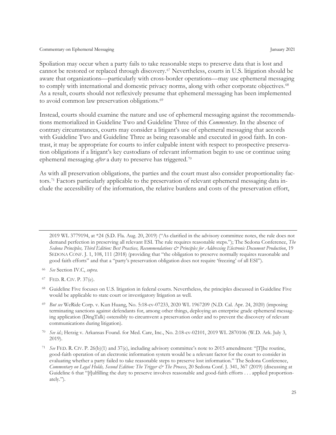Spoliation may occur when a party fails to take reasonable steps to preserve data that is lost and cannot be restored or replaced through discovery. [67](#page-30-0) Nevertheless, courts in U.S. litigation should be aware that organizations—particularly with cross-border operations—may use ephemeral messaging to comply with international and domestic privacy norms, along with other corporate objectives.<sup>[68](#page-30-1)</sup> As a result, courts should not reflexively presume that ephemeral messaging has been implemented to avoid common law preservation obligations.<sup>[69](#page-30-2)</sup>

Instead, courts should examine the nature and use of ephemeral messaging against the recommendations memorialized in Guideline Two and Guideline Three of this *Commentary*. In the absence of contrary circumstances, courts may consider a litigant's use of ephemeral messaging that accords with Guideline Two and Guideline Three as being reasonable and executed in good faith. In contrast, it may be appropriate for courts to infer culpable intent with respect to prospective preservation obligations if a litigant's key custodians of relevant information begin to use or continue using ephemeral messaging *after* a duty to preserve has triggered.<sup>[70](#page-30-3)</sup>

As with all preservation obligations, the parties and the court must also consider proportionality factors.[71](#page-30-4) Factors particularly applicable to the preservation of relevant ephemeral messaging data include the accessibility of the information, the relative burdens and costs of the preservation effort,

2019 WL 3779194, at \*24 (S.D. Fla. Aug. 20, 2019) ("As clarified in the advisory committee notes, the rule does not demand perfection in preserving all relevant ESI. The rule requires reasonable steps."); The Sedona Conference, *The Sedona Principles, Third Edition: Best Practices, Recommendations & Principles for Addressing Electronic Document Production*, 19 SEDONA CONF. J. 1, 108, 111 (2018) (providing that "the obligation to preserve normally requires reasonable and good faith efforts" and that a "party's preservation obligation does not require 'freezing' of all ESI").

<span id="page-30-0"></span><sup>67</sup> FED. R. CIV. P. 37(e).

<span id="page-30-1"></span><sup>68</sup> Guideline Five focuses on U.S. litigation in federal courts. Nevertheless, the principles discussed in Guideline Five would be applicable to state court or investigatory litigation as well.

<span id="page-30-2"></span><sup>69</sup> *But see* WeRide Corp. v. Kun Huang, No. 5:18-cv-07233, 2020 WL 1967209 (N.D. Cal. Apr. 24, 2020) (imposing terminating sanctions against defendants for, among other things, deploying an enterprise grade ephemeral messaging application (DingTalk) ostensibly to circumvent a preservation order and to prevent the discovery of relevant communications during litigation).

<span id="page-30-3"></span><sup>70</sup> *See id*.; Herzig v. Arkansas Found. for Med. Care, Inc., No. 2:18-cv-02101, 2019 WL 2870106 (W.D. Ark. July 3, 2019).

<span id="page-30-4"></span><sup>71</sup> *See* FED. R. CIV. P. 26(b)(1) and 37(e), including advisory committee's note to 2015 amendment: "[T]he routine, good-faith operation of an electronic information system would be a relevant factor for the court to consider in evaluating whether a party failed to take reasonable steps to preserve lost information." The Sedona Conference, *Commentary on Legal Holds, Second Edition: The Trigger & The Process*, 20 Sedona Conf. J. 341, 367 (2019) (discussing at Guideline 6 that "[f]ulfilling the duty to preserve involves reasonable and good-faith efforts . . . applied proportionately.").

<sup>66</sup> *See* Section IV.C, *supra*.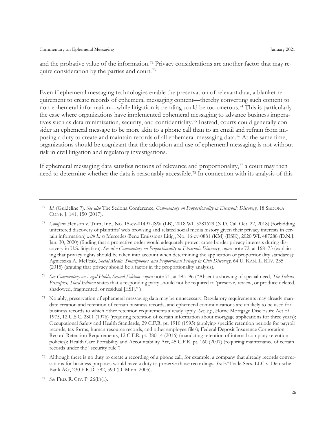and the probative value of the information.[72](#page-31-0) Privacy considerations are another factor that may re-quire consideration by the parties and court.<sup>[73](#page-31-1)</sup>

Even if ephemeral messaging technologies enable the preservation of relevant data, a blanket requirement to create records of ephemeral messaging content—thereby converting such content to non-ephemeral information—while litigation is pending could be too onerous. [74](#page-31-2) This is particularly the case where organizations have implemented ephemeral messaging to advance business imperatives such as data minimization, security, and confidentiality.[75](#page-31-3) Instead, courts could generally consider an ephemeral message to be more akin to a phone call than to an email and refrain from imposing a duty to create and maintain records of all ephemeral messaging data.[76](#page-31-4) At the same time, organizations should be cognizant that the adoption and use of ephemeral messaging is not without risk in civil litigation and regulatory investigations.

If ephemeral messaging data satisfies notions of relevance and proportionality,<sup>[77](#page-31-5)</sup> a court may then need to determine whether the data is reasonably accessible.[78](#page-31-6) In connection with its analysis of this

<span id="page-31-2"></span><sup>74</sup> *See Commentary on Legal Holds, Second Edition*, *supra* note 71, at 395–96 ("Absent a showing of special need, *The Sedona Principles, Third Edition* states that a responding party should not be required to 'preserve, review, or produce deleted, shadowed, fragmented, or residual [ESI].'").

<span id="page-31-3"></span><sup>75</sup> Notably, preservation of ephemeral messaging data may be unnecessary. Regulatory requirements may already mandate creation and retention of certain business records, and ephemeral communications are unlikely to be used for business records to which other retention requirements already apply. *See*, *e.g.*, Home Mortgage Disclosure Act of 1975, 12 U.S.C. 2801 (1976) (requiring retention of certain information about mortgage applications for three years); Occupational Safety and Health Standards, 29 C.F.R. pt. 1910 (1993) (applying specific retention periods for payroll records, tax forms, human resource records, and other employee files); Federal Deposit Insurance Corporation Record Retention Requirements, 12 C.F.R. pt. 380.14 (2016) (mandating retention of internal company retention policies); Health Care Portability and Accountability Act, 45 C.F.R. pt. 160 (2007) (requiring maintenance of certain records under the "security rule").

<span id="page-31-0"></span><sup>72</sup> *Id*. (Guideline 7). *See also* The Sedona Conference, *Commentary on Proportionality in Electronic Discovery*, 18 SEDONA CONF. J. 141, 150 (2017).

<span id="page-31-1"></span><sup>73</sup> *Compare* Henson v. Turn, Inc., No. 15-cv-01497-JSW (LB), 2018 WL 5281629 (N.D. Cal. Oct. 22, 2018) (forbidding unfettered discovery of plaintiffs' web browsing and related social media history given their privacy interests in certain information) *with In re* Mercedes-Benz Emissions Litig., No. 16-cv-0881 (KM) (ESK), 2020 WL 487288 (D.N.J. Jan. 30, 2020) (finding that a protective order would adequately protect cross-border privacy interests during discovery in U.S. litigation). *See also Commentary on Proportionality in Electronic Discovery*, *supra* note 72, at 168–73 (explaining that privacy rights should be taken into account when determining the application of proportionality standards); Agnieszka A. McPeak, *Social Media, Smartphones, and Proportional Privacy in Civil Discovery*, 64 U. KAN. L. REV. 235 (2015) (arguing that privacy should be a factor in the proportionality analysis).

<span id="page-31-6"></span><span id="page-31-4"></span><sup>76</sup> Although there is no duty to create a recording of a phone call, for example, a company that already records conversations for business purposes would have a duty to preserve those recordings. *See* E\*Trade Secs. LLC v. Deutsche Bank AG, 230 F.R.D. 582, 590 (D. Minn. 2005).

<span id="page-31-5"></span><sup>77</sup> *See* FED. R. CIV. P. 26(b)(1).